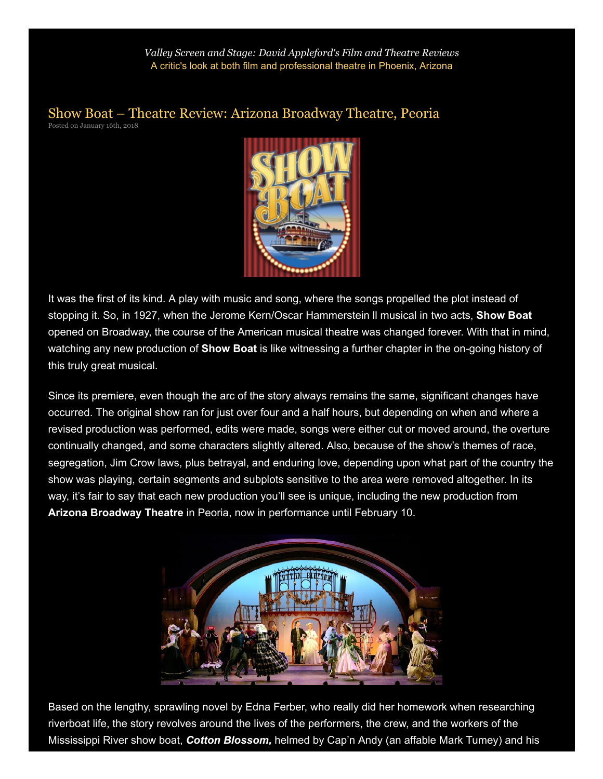*Valley Screen and Stage: David [Appleford's](http://appleford.leftcoastx.com/) Film and Theatre Reviews* A critic's look at both film and professional theatre in Phoenix, Arizona

[Show Boat – Theatre Review: Arizona Broadway Theatre, Peoria](http://appleford.leftcoastx.com/show-boat-theatre-review-arizona-broadway-theatre-peoria/) Posted on January 16th, 2018



It was the first of its kind. A play with music and song, where the songs propelled the plot instead of stopping it. So, in 1927, when the Jerome Kern/Oscar Hammerstein II musical in two acts, **Show Boat** opened on Broadway, the course of the American musical theatre was changed forever. With that in mind, watching any new production of Show Boat is like witnessing a further chapter in the on-going history of this truly great musical.

Since its premiere, even though the arc of the story always remains the same, significant changes have occurred. The original show ran for just over four and a half hours, but depending on when and where a revised production was performed, edits were made, songs were either cut or moved around, the overture continually changed, and some characters slightly altered. Also, because of the show's themes of race, segregation, Jim Crow laws, plus betrayal, and enduring love, depending upon what part of the country the show was playing, certain segments and subplots sensitive to the area were removed altogether. In its way, it's fair to say that each new production you'll see is unique, including the new production from Arizona Broadway Theatre in Peoria, now in performance until February 10.



Based on the lengthy, sprawling novel by Edna Ferber, who really did her homework when researching riverboat life, the story revolves around the lives of the performers, the crew, and the workers of the Mississippi River show boat, Cotton Blossom, helmed by Cap'n Andy (an affable Mark Tumey) and his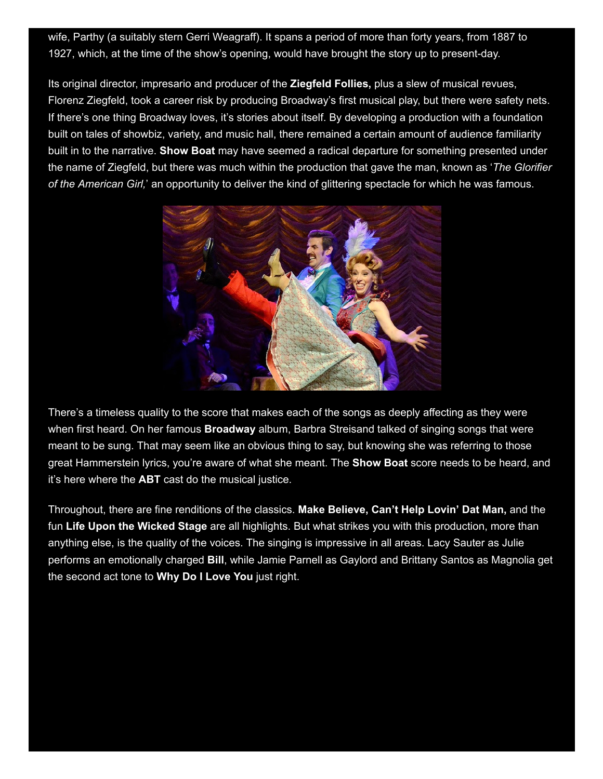wife, Parthy (a suitably stern Gerri Weagraff). It spans a period of more than forty years, from 1887 to 1927, which, at the time of the show's opening, would have brought the story up to present-day.

Its original director, impresario and producer of the Ziegfeld Follies, plus a slew of musical revues, Florenz Ziegfeld, took a career risk by producing Broadway's first musical play, but there were safety nets. If there's one thing Broadway loves, it's stories about itself. By developing a production with a foundation built on tales of showbiz, variety, and music hall, there remained a certain amount of audience familiarity built in to the narrative. **Show Boat** may have seemed a radical departure for something presented under the name of Ziegfeld, but there was much within the production that gave the man, known as 'The Glorifier of the American Girl,' an opportunity to deliver the kind of glittering spectacle for which he was famous.



There's a timeless quality to the score that makes each of the songs as deeply affecting as they were when first heard. On her famous **Broadway** album, Barbra Streisand talked of singing songs that were meant to be sung. That may seem like an obvious thing to say, but knowing she was referring to those great Hammerstein lyrics, you're aware of what she meant. The **Show Boat** score needs to be heard, and it's here where the ABT cast do the musical justice.

Throughout, there are fine renditions of the classics. Make Believe, Can't Help Lovin' Dat Man, and the fun Life Upon the Wicked Stage are all highlights. But what strikes you with this production, more than anything else, is the quality of the voices. The singing is impressive in all areas. Lacy Sauter as Julie performs an emotionally charged Bill, while Jamie Parnell as Gaylord and Brittany Santos as Magnolia get the second act tone to Why Do I Love You just right.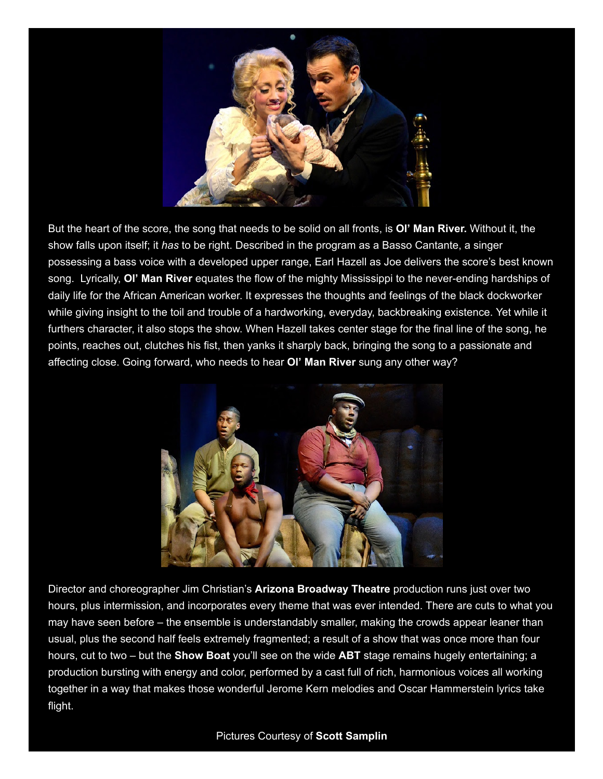

But the heart of the score, the song that needs to be solid on all fronts, is OI' Man River. Without it, the show falls upon itself; it has to be right. Described in the program as a Basso Cantante, a singer possessing a bass voice with a developed upper range, Earl Hazell as Joe delivers the score's best known song. Lyrically, OI' Man River equates the flow of the mighty Mississippi to the never-ending hardships of daily life for the African American worker. It expresses the thoughts and feelings of the black dockworker while giving insight to the toil and trouble of a hardworking, everyday, backbreaking existence. Yet while it furthers character, it also stops the show. When Hazell takes center stage for the final line of the song, he points, reaches out, clutches his fist, then yanks it sharply back, bringing the song to a passionate and affecting close. Going forward, who needs to hear OI' Man River sung any other way?



Director and choreographer Jim Christian's Arizona Broadway Theatre production runs just over two hours, plus intermission, and incorporates every theme that was ever intended. There are cuts to what you may have seen before – the ensemble is understandably smaller, making the crowds appear leaner than usual, plus the second half feels extremely fragmented; a result of a show that was once more than four hours, cut to two – but the **Show Boat** you'll see on the wide **ABT** stage remains hugely entertaining; a production bursting with energy and color, performed by a cast full of rich, harmonious voices all working together in a way that makes those wonderful Jerome Kern melodies and Oscar Hammerstein lyrics take flight.